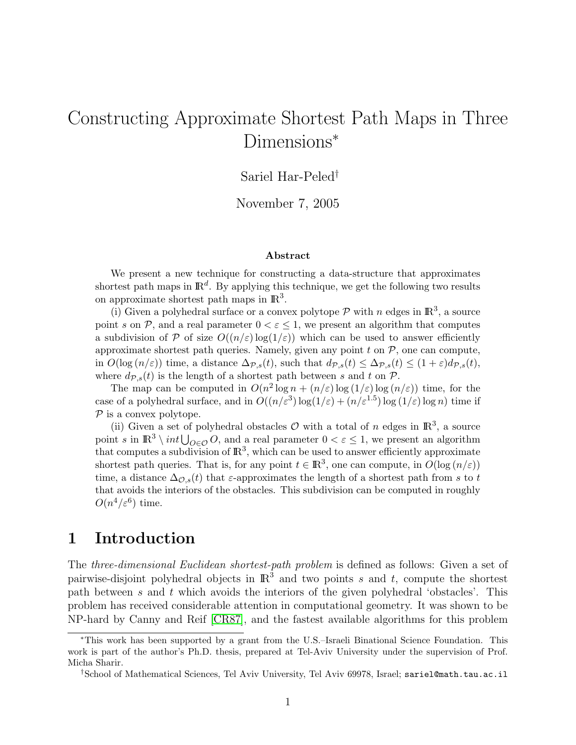# Constructing Approximate Shortest Path Maps in Three Dimensions<sup>\*</sup>

### Sariel Har-Peled†

November 7, 2005

#### Abstract

We present a new technique for constructing a data-structure that approximates shortest path maps in  $\mathbb{R}^d$ . By applying this technique, we get the following two results on approximate shortest path maps in  $\mathbb{R}^3$ .

(i) Given a polyhedral surface or a convex polytope  $P$  with n edges in  $\mathbb{R}^3$ , a source point s on  $P$ , and a real parameter  $0 < \varepsilon \leq 1$ , we present an algorithm that computes a subdivision of P of size  $O((n/\varepsilon) \log(1/\varepsilon))$  which can be used to answer efficiently approximate shortest path queries. Namely, given any point  $t$  on  $P$ , one can compute, in  $O(\log(n/\varepsilon))$  time, a distance  $\Delta_{\mathcal{P},s}(t)$ , such that  $d_{\mathcal{P},s}(t) \leq \Delta_{\mathcal{P},s}(t) \leq (1+\varepsilon)d_{\mathcal{P},s}(t)$ , where  $d_{\mathcal{P},s}(t)$  is the length of a shortest path between s and t on  $\mathcal{P}$ .

The map can be computed in  $O(n^2 \log n + (n/\varepsilon) \log (1/\varepsilon) \log (n/\varepsilon))$  time, for the case of a polyhedral surface, and in  $O((n/\varepsilon^3) \log(1/\varepsilon) + (n/\varepsilon^{1.5}) \log(1/\varepsilon) \log n)$  time if  $P$  is a convex polytope.

(ii) Given a set of polyhedral obstacles  $\mathcal O$  with a total of n edges in  $\mathbb R^3$ , a source point s in  $\mathbb{R}^3 \setminus int \bigcup_{O \in \mathcal{O}} O$ , and a real parameter  $0 < \varepsilon \leq 1$ , we present an algorithm that computes a subdivision of  $\mathbb{R}^3$ , which can be used to answer efficiently approximate shortest path queries. That is, for any point  $t \in \mathbb{R}^3$ , one can compute, in  $O(\log(n/\varepsilon))$ time, a distance  $\Delta_{\mathcal{O},s}(t)$  that  $\varepsilon$ -approximates the length of a shortest path from s to t that avoids the interiors of the obstacles. This subdivision can be computed in roughly  $O(n^4/\varepsilon^6)$  time.

### 1 Introduction

The three-dimensional Euclidean shortest-path problem is defined as follows: Given a set of pairwise-disjoint polyhedral objects in  $\mathbb{R}^3$  and two points s and t, compute the shortest path between s and t which avoids the interiors of the given polyhedral 'obstacles'. This problem has received considerable attention in computational geometry. It was shown to be NP-hard by Canny and Reif [\[CR87\]](#page-17-0), and the fastest available algorithms for this problem

<sup>∗</sup>This work has been supported by a grant from the U.S.–Israeli Binational Science Foundation. This work is part of the author's Ph.D. thesis, prepared at Tel-Aviv University under the supervision of Prof. Micha Sharir.

<sup>†</sup>School of Mathematical Sciences, Tel Aviv University, Tel Aviv 69978, Israel; sariel@math.tau.ac.il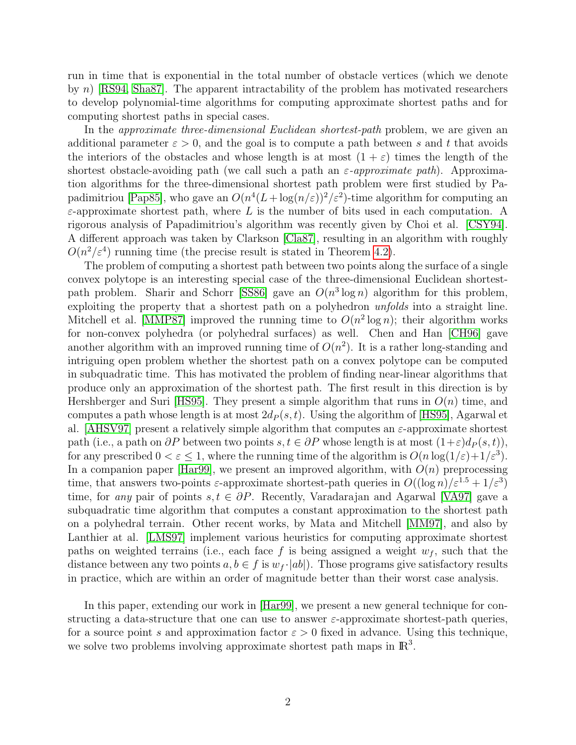run in time that is exponential in the total number of obstacle vertices (which we denote by n) [\[RS94,](#page-18-0) [Sha87\]](#page-18-1). The apparent intractability of the problem has motivated researchers to develop polynomial-time algorithms for computing approximate shortest paths and for computing shortest paths in special cases.

In the *approximate three-dimensional Euclidean shortest-path* problem, we are given an additional parameter  $\varepsilon > 0$ , and the goal is to compute a path between s and t that avoids the interiors of the obstacles and whose length is at most  $(1 + \varepsilon)$  times the length of the shortest obstacle-avoiding path (we call such a path an  $\varepsilon$ -approximate path). Approximation algorithms for the three-dimensional shortest path problem were first studied by Pa-padimitriou [\[Pap85\]](#page-18-2), who gave an  $O(n^4(L + \log(n/\varepsilon))^2/\varepsilon^2)$ -time algorithm for computing an  $\varepsilon$ -approximate shortest path, where L is the number of bits used in each computation. A rigorous analysis of Papadimitriou's algorithm was recently given by Choi et al. [\[CSY94\]](#page-17-1). A different approach was taken by Clarkson [\[Cla87\]](#page-17-2), resulting in an algorithm with roughly  $O(n^2/\varepsilon^4)$  running time (the precise result is stated in Theorem [4.2\)](#page-13-0).

The problem of computing a shortest path between two points along the surface of a single convex polytope is an interesting special case of the three-dimensional Euclidean shortest-path problem. Sharir and Schorr [\[SS86\]](#page-18-3) gave an  $O(n^3 \log n)$  algorithm for this problem, exploiting the property that a shortest path on a polyhedron unfolds into a straight line. Mitchell et al. [\[MMP87\]](#page-18-4) improved the running time to  $O(n^2 \log n)$ ; their algorithm works for non-convex polyhedra (or polyhedral surfaces) as well. Chen and Han [\[CH96\]](#page-17-3) gave another algorithm with an improved running time of  $O(n^2)$ . It is a rather long-standing and intriguing open problem whether the shortest path on a convex polytope can be computed in subquadratic time. This has motivated the problem of finding near-linear algorithms that produce only an approximation of the shortest path. The first result in this direction is by Hershberger and Suri [\[HS95\]](#page-17-4). They present a simple algorithm that runs in  $O(n)$  time, and computes a path whose length is at most  $2d_P(s, t)$ . Using the algorithm of [\[HS95\]](#page-17-4), Agarwal et al. [\[AHSV97\]](#page-17-5) present a relatively simple algorithm that computes an  $\varepsilon$ -approximate shortest path (i.e., a path on  $\partial P$  between two points  $s, t \in \partial P$  whose length is at most  $(1+\varepsilon)d_P(s, t)$ ), for any prescribed  $0 < \varepsilon \leq 1$ , where the running time of the algorithm is  $O(n \log(1/\varepsilon) + 1/\varepsilon^3)$ . In a companion paper [\[Har99\]](#page-17-6), we present an improved algorithm, with  $O(n)$  preprocessing time, that answers two-points  $\varepsilon$ -approximate shortest-path queries in  $O((\log n)/\varepsilon^{1.5} + 1/\varepsilon^3)$ time, for any pair of points  $s, t \in \partial P$ . Recently, Varadarajan and Agarwal [\[VA97\]](#page-18-5) gave a subquadratic time algorithm that computes a constant approximation to the shortest path on a polyhedral terrain. Other recent works, by Mata and Mitchell [\[MM97\]](#page-18-6), and also by Lanthier at al. [\[LMS97\]](#page-17-7) implement various heuristics for computing approximate shortest paths on weighted terrains (i.e., each face f is being assigned a weight  $w_f$ , such that the distance between any two points  $a, b \in f$  is  $w_f \cdot |ab|$ . Those programs give satisfactory results in practice, which are within an order of magnitude better than their worst case analysis.

In this paper, extending our work in [\[Har99\]](#page-17-6), we present a new general technique for constructing a data-structure that one can use to answer  $\varepsilon$ -approximate shortest-path queries, for a source point s and approximation factor  $\varepsilon > 0$  fixed in advance. Using this technique, we solve two problems involving approximate shortest path maps in  $\mathbb{R}^3$ .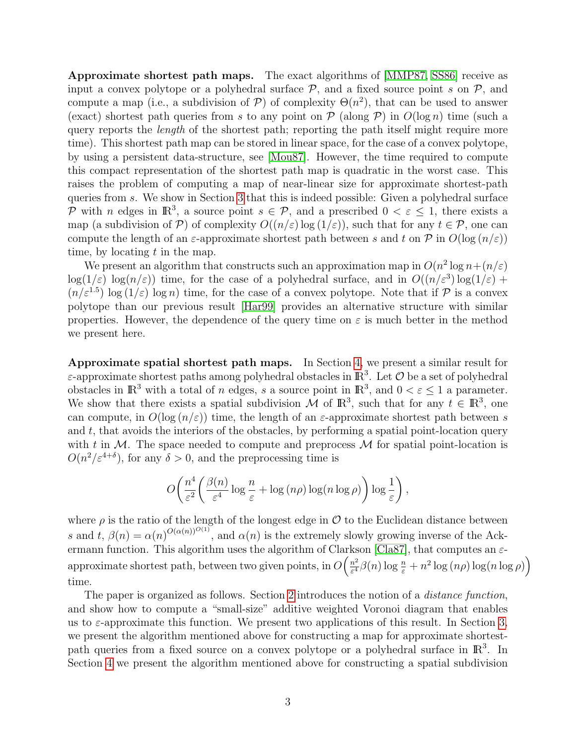Approximate shortest path maps. The exact algorithms of [\[MMP87,](#page-18-4) [SS86\]](#page-18-3) receive as input a convex polytope or a polyhedral surface  $P$ , and a fixed source point s on  $P$ , and compute a map (i.e., a subdivision of  $P$ ) of complexity  $\Theta(n^2)$ , that can be used to answer (exact) shortest path queries from s to any point on  $P$  (along P) in  $O(\log n)$  time (such a query reports the length of the shortest path; reporting the path itself might require more time). This shortest path map can be stored in linear space, for the case of a convex polytope, by using a persistent data-structure, see [\[Mou87\]](#page-18-7). However, the time required to compute this compact representation of the shortest path map is quadratic in the worst case. This raises the problem of computing a map of near-linear size for approximate shortest-path queries from s. We show in Section [3](#page-9-0) that this is indeed possible: Given a polyhedral surface P with n edges in  $\mathbb{R}^3$ , a source point  $s \in \mathcal{P}$ , and a prescribed  $0 < \varepsilon \leq 1$ , there exists a map (a subdivision of P) of complexity  $O((n/\varepsilon) \log(1/\varepsilon))$ , such that for any  $t \in \mathcal{P}$ , one can compute the length of an  $\varepsilon$ -approximate shortest path between s and t on  $\mathcal P$  in  $O(\log(n/\varepsilon))$ time, by locating  $t$  in the map.

We present an algorithm that constructs such an approximation map in  $O(n^2 \log n + (n/\varepsilon))$  $\log(1/\varepsilon) \log(n/\varepsilon)$  time, for the case of a polyhedral surface, and in  $O((n/\varepsilon^3) \log(1/\varepsilon) +$  $(n/\varepsilon^{1.5}) \log(1/\varepsilon) \log n$  time, for the case of a convex polytope. Note that if P is a convex polytope than our previous result [\[Har99\]](#page-17-6) provides an alternative structure with similar properties. However, the dependence of the query time on  $\varepsilon$  is much better in the method we present here.

Approximate spatial shortest path maps. In Section [4,](#page-12-0) we present a similar result for  $\varepsilon$ -approximate shortest paths among polyhedral obstacles in  $\mathbb{R}^3$ . Let  $\mathcal O$  be a set of polyhedral obstacles in  $\mathbb{R}^3$  with a total of n edges, s a source point in  $\mathbb{R}^3$ , and  $0 < \varepsilon \leq 1$  a parameter. We show that there exists a spatial subdivision M of  $\mathbb{R}^3$ , such that for any  $t \in \mathbb{R}^3$ , one can compute, in  $O(\log(n/\varepsilon))$  time, the length of an  $\varepsilon$ -approximate shortest path between s and  $t$ , that avoids the interiors of the obstacles, by performing a spatial point-location query with t in  $M$ . The space needed to compute and preprocess  $M$  for spatial point-location is  $O(n^2/\varepsilon^{4+\delta})$ , for any  $\delta > 0$ , and the preprocessing time is

$$
O\left(\frac{n^4}{\varepsilon^2} \left(\frac{\beta(n)}{\varepsilon^4} \log \frac{n}{\varepsilon} + \log (n\rho) \log (n \log \rho)\right) \log \frac{1}{\varepsilon}\right),\right)
$$

where  $\rho$  is the ratio of the length of the longest edge in  $\mathcal O$  to the Euclidean distance between s and t,  $\beta(n) = \alpha(n)^{O(\alpha(n))^{O(1)}}$ , and  $\alpha(n)$  is the extremely slowly growing inverse of the Ack-ermann function. This algorithm uses the algorithm of Clarkson [\[Cla87\]](#page-17-2), that computes an  $\varepsilon$ approximate shortest path, between two given points, in  $O\left(\frac{n^2}{\epsilon^4}\right)$  $\frac{n^2}{\varepsilon^4} \beta(n) \log \frac{n}{\varepsilon} + n^2 \log (n\rho) \log(n \log \rho)$ time.

The paper is organized as follows. Section [2](#page-3-0) introduces the notion of a *distance function*, and show how to compute a "small-size" additive weighted Voronoi diagram that enables us to  $\varepsilon$ -approximate this function. We present two applications of this result. In Section [3,](#page-9-0) we present the algorithm mentioned above for constructing a map for approximate shortestpath queries from a fixed source on a convex polytope or a polyhedral surface in  $\mathbb{R}^3$ . In Section [4](#page-12-0) we present the algorithm mentioned above for constructing a spatial subdivision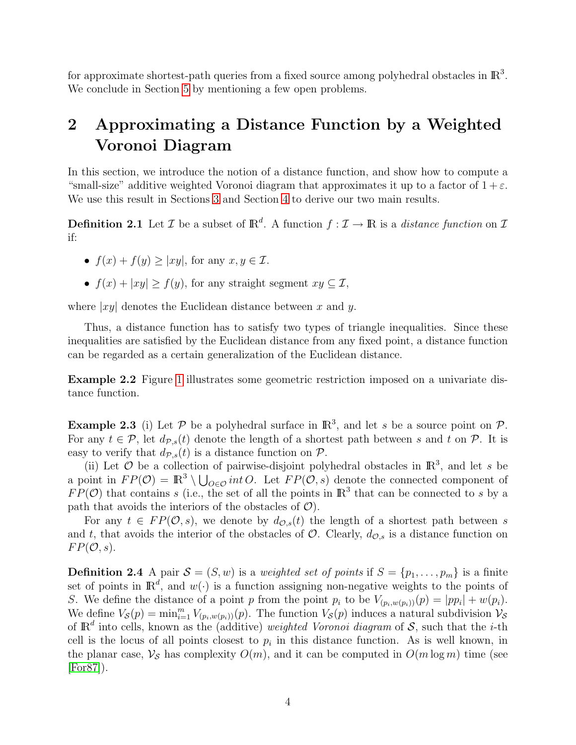for approximate shortest-path queries from a fixed source among polyhedral obstacles in  $\mathbb{R}^3$ . We conclude in Section [5](#page-16-0) by mentioning a few open problems.

## <span id="page-3-0"></span>2 Approximating a Distance Function by a Weighted Voronoi Diagram

In this section, we introduce the notion of a distance function, and show how to compute a "small-size" additive weighted Voronoi diagram that approximates it up to a factor of  $1+\varepsilon$ . We use this result in Sections [3](#page-9-0) and Section [4](#page-12-0) to derive our two main results.

**Definition 2.1** Let  $\mathcal{I}$  be a subset of  $\mathbb{R}^d$ . A function  $f : \mathcal{I} \to \mathbb{R}$  is a *distance function* on  $\mathcal{I}$ if:

- $f(x) + f(y) \ge |xy|$ , for any  $x, y \in \mathcal{I}$ .
- $f(x) + |xy| \ge f(y)$ , for any straight segment  $xy \subseteq \mathcal{I}$ ,

where  $|xy|$  denotes the Euclidean distance between x and y.

Thus, a distance function has to satisfy two types of triangle inequalities. Since these inequalities are satisfied by the Euclidean distance from any fixed point, a distance function can be regarded as a certain generalization of the Euclidean distance.

Example 2.2 Figure [1](#page-4-0) illustrates some geometric restriction imposed on a univariate distance function.

<span id="page-3-1"></span>**Example 2.3** (i) Let P be a polyhedral surface in  $\mathbb{R}^3$ , and let s be a source point on P. For any  $t \in \mathcal{P}$ , let  $d_{\mathcal{P},s}(t)$  denote the length of a shortest path between s and t on  $\mathcal{P}$ . It is easy to verify that  $d_{\mathcal{P},s}(t)$  is a distance function on  $\mathcal{P}$ .

(ii) Let  $\mathcal O$  be a collection of pairwise-disjoint polyhedral obstacles in  $\mathbb R^3$ , and let s be a point in  $FP(\mathcal{O}) = \mathbb{R}^3 \setminus \bigcup_{\mathcal{O} \in \mathcal{O}} int \mathcal{O}$ . Let  $FP(\mathcal{O}, s)$  denote the connected component of  $FP(\mathcal{O})$  that contains s (i.e., the set of all the points in  $\mathbb{R}^3$  that can be connected to s by a path that avoids the interiors of the obstacles of  $\mathcal{O}$ ).

For any  $t \in FP(\mathcal{O}, s)$ , we denote by  $d_{\mathcal{O}, s}(t)$  the length of a shortest path between s and t, that avoids the interior of the obstacles of  $\mathcal{O}$ . Clearly,  $d_{\mathcal{O},s}$  is a distance function on  $FP(\mathcal{O}, s)$ .

<span id="page-3-2"></span>**Definition 2.4** A pair  $\mathcal{S} = (S, w)$  is a weighted set of points if  $S = \{p_1, \ldots, p_m\}$  is a finite set of points in  $\mathbb{R}^d$ , and  $w(\cdot)$  is a function assigning non-negative weights to the points of S. We define the distance of a point p from the point  $p_i$  to be  $V_{(p_i,w(p_i))}(p) = |pp_i| + w(p_i)$ . We define  $V_{\mathcal{S}}(p) = \min_{i=1}^m V_{(p_i,w(p_i))}(p)$ . The function  $V_{\mathcal{S}}(p)$  induces a natural subdivision  $V_{\mathcal{S}}(p)$ of  $\mathbb{R}^d$  into cells, known as the (additive) weighted Voronoi diagram of S, such that the *i*-th cell is the locus of all points closest to  $p_i$  in this distance function. As is well known, in the planar case,  $\mathcal{V}_{\mathcal{S}}$  has complexity  $O(m)$ , and it can be computed in  $O(m \log m)$  time (see [\[For87\]](#page-17-8)).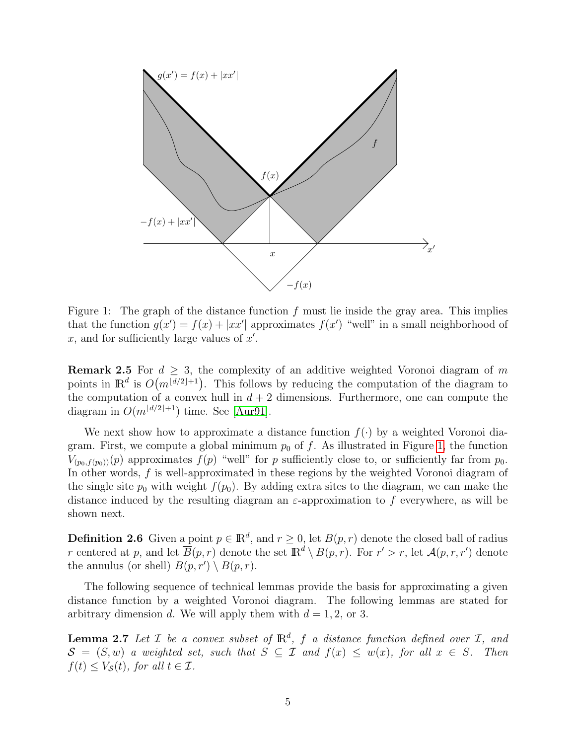

<span id="page-4-0"></span>Figure 1: The graph of the distance function  $f$  must lie inside the gray area. This implies that the function  $g(x') = f(x) + |xx'|$  approximates  $f(x')$  "well" in a small neighborhood of x, and for sufficiently large values of  $x'$ .

**Remark 2.5** For  $d \geq 3$ , the complexity of an additive weighted Voronoi diagram of m points in  $\mathbb{R}^d$  is  $O(m^{\lfloor d/2 \rfloor+1})$ . This follows by reducing the computation of the diagram to the computation of a convex hull in  $d + 2$  dimensions. Furthermore, one can compute the diagram in  $O(m^{\lfloor d/2\rfloor+1})$  time. See [\[Aur91\]](#page-17-9).

We next show how to approximate a distance function  $f(\cdot)$  by a weighted Voronoi diagram. First, we compute a global minimum  $p_0$  of f. As illustrated in Figure [1,](#page-4-0) the function  $V_{(p_0,f(p_0))}(p)$  approximates  $f(p)$  "well" for p sufficiently close to, or sufficiently far from  $p_0$ . In other words, f is well-approximated in these regions by the weighted Voronoi diagram of the single site  $p_0$  with weight  $f(p_0)$ . By adding extra sites to the diagram, we can make the distance induced by the resulting diagram an  $\varepsilon$ -approximation to f everywhere, as will be shown next.

**Definition 2.6** Given a point  $p \in \mathbb{R}^d$ , and  $r \geq 0$ , let  $B(p,r)$  denote the closed ball of radius r centered at p, and let  $\overline{B}(p,r)$  denote the set  $\mathbb{R}^d \setminus B(p,r)$ . For  $r' > r$ , let  $\mathcal{A}(p,r,r')$  denote the annulus (or shell)  $B(p, r') \setminus B(p, r)$ .

The following sequence of technical lemmas provide the basis for approximating a given distance function by a weighted Voronoi diagram. The following lemmas are stated for arbitrary dimension d. We will apply them with  $d = 1, 2$ , or 3.

<span id="page-4-1"></span>**Lemma 2.7** Let  $\mathcal{I}$  be a convex subset of  $\mathbb{R}^d$ ,  $f$  a distance function defined over  $\mathcal{I}$ , and  $S = (S, w)$  a weighted set, such that  $S \subseteq \mathcal{I}$  and  $f(x) \leq w(x)$ , for all  $x \in S$ . Then  $f(t) \leq V_{\mathcal{S}}(t)$ , for all  $t \in \mathcal{I}$ .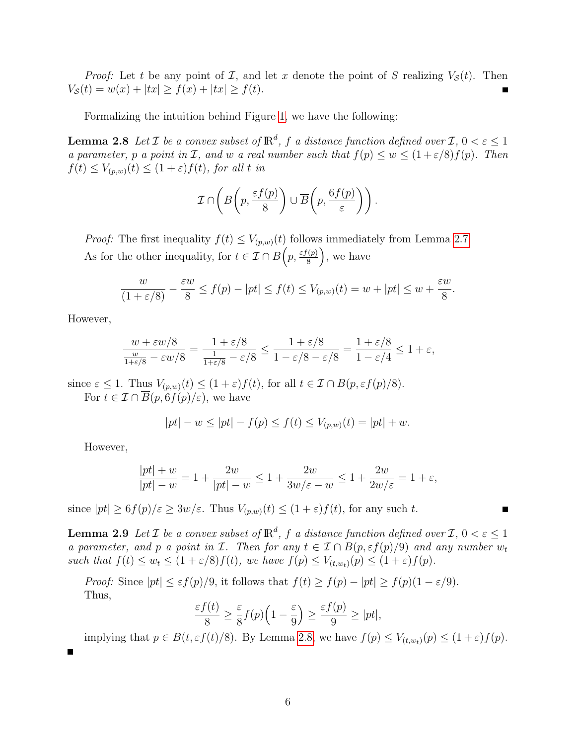*Proof:* Let t be any point of  $\mathcal{I}$ , and let x denote the point of S realizing  $V_{\mathcal{S}}(t)$ . Then  $V_{\mathcal{S}}(t) = w(x) + |tx| \ge f(x) + |tx| \ge f(t).$ 

Formalizing the intuition behind Figure [1,](#page-4-0) we have the following:

<span id="page-5-0"></span>**Lemma 2.8** Let  $\mathcal I$  be a convex subset of  $\mathbb R^d$ ,  $f$  a distance function defined over  $\mathcal I$ ,  $0 < \varepsilon \leq 1$ a parameter, p a point in I, and w a real number such that  $f(p) \leq w \leq (1+\varepsilon/8)f(p)$ . Then  $f(t) \leq V_{(p,w)}(t) \leq (1+\varepsilon)f(t)$ , for all t in

$$
\mathcal{I} \cap \left( B\left(p, \frac{\varepsilon f(p)}{8}\right) \cup \overline{B}\left(p, \frac{6f(p)}{\varepsilon}\right)\right).
$$

*Proof:* The first inequality  $f(t) \leq V_{(p,w)}(t)$  follows immediately from Lemma [2.7.](#page-4-1) As for the other inequality, for  $t \in \mathcal{I} \cap B\left(p, \frac{\varepsilon f(p)}{8}\right)$  $\left(\frac{p}{8}\right)$ , we have

$$
\frac{w}{(1+\varepsilon/8)} - \frac{\varepsilon w}{8} \le f(p) - |pt| \le f(t) \le V_{(p,w)}(t) = w + |pt| \le w + \frac{\varepsilon w}{8}
$$

.

However,

$$
\frac{w + \varepsilon w/8}{\frac{w}{1 + \varepsilon/8} - \varepsilon w/8} = \frac{1 + \varepsilon/8}{\frac{1}{1 + \varepsilon/8} - \varepsilon/8} \le \frac{1 + \varepsilon/8}{1 - \varepsilon/8 - \varepsilon/8} = \frac{1 + \varepsilon/8}{1 - \varepsilon/4} \le 1 + \varepsilon,
$$

since  $\varepsilon \leq 1$ . Thus  $V_{(p,w)}(t) \leq (1+\varepsilon)f(t)$ , for all  $t \in \mathcal{I} \cap B(p,\varepsilon f(p)/8)$ .

For  $t \in \mathcal{I} \cap \overline{B}(p, 6f(p)/\varepsilon)$ , we have

$$
|pt| - w \le |pt| - f(p) \le f(t) \le V_{(p,w)}(t) = |pt| + w.
$$

However,

$$
\frac{|pt|+w}{|pt|-w} = 1 + \frac{2w}{|pt|-w} \le 1 + \frac{2w}{3w/\varepsilon - w} \le 1 + \frac{2w}{2w/\varepsilon} = 1 + \varepsilon,
$$

since  $|pt| \geq 6f(p)/\varepsilon \geq 3w/\varepsilon$ . Thus  $V_{(p,w)}(t) \leq (1+\varepsilon)f(t)$ , for any such t.

<span id="page-5-1"></span>**Lemma 2.9** Let  $\mathcal I$  be a convex subset of  $\mathbb R^d$ ,  $f$  a distance function defined over  $\mathcal I$ ,  $0 < \varepsilon \leq 1$ a parameter, and p a point in I. Then for any  $t \in I \cap B(p, \varepsilon f(p)/9)$  and any number  $w_t$ such that  $f(t) \leq w_t \leq (1+\varepsilon/8)f(t)$ , we have  $f(p) \leq V_{(t,w_t)}(p) \leq (1+\varepsilon)f(p)$ .

*Proof:* Since  $|pt| \leq \varepsilon f(p)/9$ , it follows that  $f(t) \geq f(p) - |pt| \geq f(p)(1 - \varepsilon/9)$ . Thus,

$$
\frac{\varepsilon f(t)}{8} \ge \frac{\varepsilon}{8} f(p) \left( 1 - \frac{\varepsilon}{9} \right) \ge \frac{\varepsilon f(p)}{9} \ge |pt|,
$$

implying that  $p \in B(t, \varepsilon f(t)/8)$ . By Lemma [2.8,](#page-5-0) we have  $f(p) \leq V_{(t,w_t)}(p) \leq (1+\varepsilon)f(p)$ .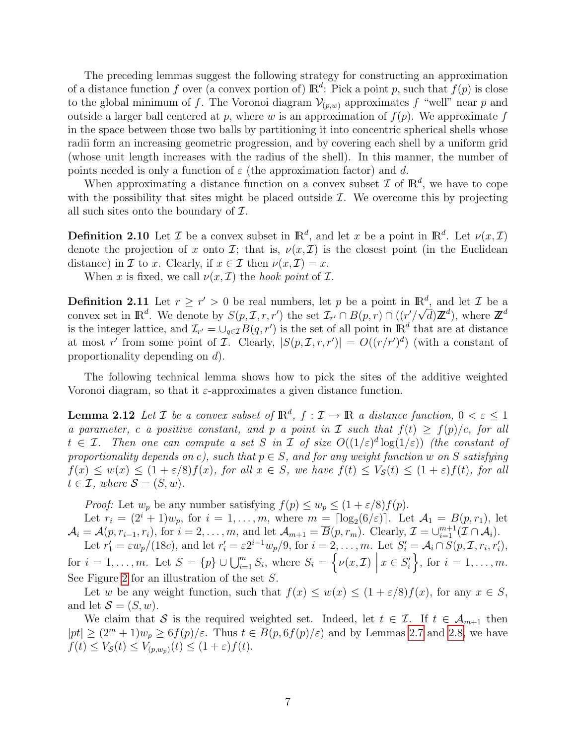The preceding lemmas suggest the following strategy for constructing an approximation of a distance function f over (a convex portion of)  $\mathbb{R}^d$ : Pick a point p, such that  $f(p)$  is close to the global minimum of f. The Voronoi diagram  $\mathcal{V}_{(p,w)}$  approximates f "well" near p and outside a larger ball centered at p, where w is an approximation of  $f(p)$ . We approximate f in the space between those two balls by partitioning it into concentric spherical shells whose radii form an increasing geometric progression, and by covering each shell by a uniform grid (whose unit length increases with the radius of the shell). In this manner, the number of points needed is only a function of  $\varepsilon$  (the approximation factor) and d.

When approximating a distance function on a convex subset  $\mathcal I$  of  $\mathbb R^d$ , we have to cope with the possibility that sites might be placed outside  $\mathcal{I}$ . We overcome this by projecting all such sites onto the boundary of  $\mathcal{I}$ .

**Definition 2.10** Let *I* be a convex subset in  $\mathbb{R}^d$ , and let *x* be a point in  $\mathbb{R}^d$ . Let  $\nu(x,\mathcal{I})$ denote the projection of x onto  $\mathcal{I}$ ; that is,  $\nu(x, \mathcal{I})$  is the closest point (in the Euclidean distance) in *I* to *x*. Clearly, if  $x \in \mathcal{I}$  then  $\nu(x, \mathcal{I}) = x$ .

When x is fixed, we call  $\nu(x, \mathcal{I})$  the hook point of  $\mathcal{I}$ .

**Definition 2.11** Let  $r \geq r' > 0$  be real numbers, let p be a point in  $\mathbb{R}^d$ , and let T be a convex set in  $\mathbb{R}^d$ . We denote by  $S(p,\mathcal{I},r,r')$  the set  $\mathcal{I}_{r'} \cap B(p,r) \cap ((r'/\sqrt{d})\mathbb{Z}^d)$ , where  $\mathbb{Z}^d$ is the integer lattice, and  $\mathcal{I}_{r'} = \bigcup_{q \in \mathcal{I}} B(q, r')$  is the set of all point in  $\mathbb{R}^d$  that are at distance at most r' from some point of I. Clearly,  $|S(p, \mathcal{I}, r, r')| = O((r/r')^d)$  (with a constant of proportionality depending on d).

The following technical lemma shows how to pick the sites of the additive weighted Voronoi diagram, so that it  $\varepsilon$ -approximates a given distance function.

<span id="page-6-0"></span>**Lemma 2.12** Let  $\mathcal{I}$  be a convex subset of  $\mathbb{R}^d$ ,  $f: \mathcal{I} \to \mathbb{R}$  a distance function,  $0 < \varepsilon \leq 1$ a parameter, c a positive constant, and p a point in  $\mathcal I$  such that  $f(t) \geq f(p)/c$ , for all  $t \in \mathcal{I}$ . Then one can compute a set S in I of size  $O((1/\varepsilon)^d \log(1/\varepsilon))$  (the constant of proportionality depends on c), such that  $p \in S$ , and for any weight function w on S satisfying  $f(x) \leq w(x) \leq (1+\varepsilon/8)f(x)$ , for all  $x \in S$ , we have  $f(t) \leq V_{\mathcal{S}}(t) \leq (1+\varepsilon)f(t)$ , for all  $t \in \mathcal{I}$ , where  $\mathcal{S} = (S, w)$ .

*Proof:* Let  $w_p$  be any number satisfying  $f(p) \leq w_p \leq (1 + \varepsilon/8) f(p)$ .

Let  $r_i = (2^i + 1)w_p$ , for  $i = 1, \ldots, m$ , where  $m = \lceil \log_2(6/\varepsilon) \rceil$ . Let  $\mathcal{A}_1 = B(p, r_1)$ , let  $\mathcal{A}_i = \mathcal{A}(p, r_{i-1}, r_i)$ , for  $i = 2, \ldots, m$ , and let  $\mathcal{A}_{m+1} = \overline{B}(p, r_m)$ . Clearly,  $\mathcal{I} = \bigcup_{i=1}^{m+1} (\mathcal{I} \cap \mathcal{A}_i)$ . Let  $r'_1 = \varepsilon w_p/(18c)$ , and let  $r'_i = \varepsilon 2^{i-1} w_p/9$ , for  $i = 2, \ldots, m$ . Let  $S'_i = A_i \cap S(p, \mathcal{I}, r_i, r'_i)$ ,

for  $i = 1, \ldots, m$ . Let  $S = \{p\} \cup \bigcup_{i=1}^{m} S_i$ , where  $S_i = \{ \nu(x, \mathcal{I}) \mid$  $x \in S_i'$ , for  $i = 1, \ldots, m$ . See Figure [2](#page-7-0) for an illustration of the set S.

Let w be any weight function, such that  $f(x) \leq w(x) \leq (1 + \varepsilon/8) f(x)$ , for any  $x \in S$ , and let  $S = (S, w)$ .

We claim that S is the required weighted set. Indeed, let  $t \in \mathcal{I}$ . If  $t \in \mathcal{A}_{m+1}$  then  $|pt| \geq (2^m + 1)w_p \geq 6f(p)/\varepsilon$ . Thus  $t \in \overline{B}(p, 6f(p)/\varepsilon)$  and by Lemmas [2.7](#page-4-1) and [2.8,](#page-5-0) we have  $f(t) \leq V_{\mathcal{S}}(t) \leq V_{(p,w_p)}(t) \leq (1+\varepsilon)f(t).$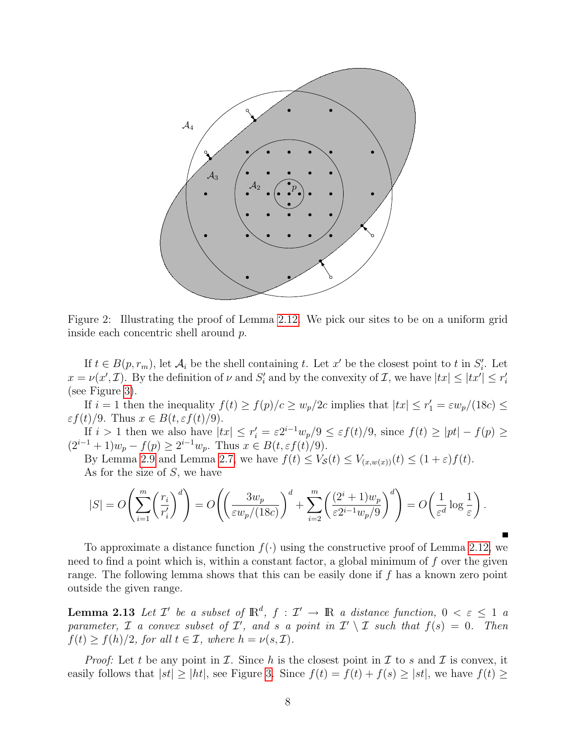

<span id="page-7-0"></span>Figure 2: Illustrating the proof of Lemma [2.12.](#page-6-0) We pick our sites to be on a uniform grid inside each concentric shell around p.

If  $t \in B(p, r_m)$ , let  $\mathcal{A}_i$  be the shell containing t. Let x' be the closest point to t in  $S_i'$ . Let  $x = \nu(x', \mathcal{I})$ . By the definition of  $\nu$  and  $S_i'$  and by the convexity of  $\mathcal{I}$ , we have  $|tx| \leq |tx'| \leq r_i'$ (see Figure [3\)](#page-8-0).

If  $i = 1$  then the inequality  $f(t) \ge f(p)/c \ge w_p/2c$  implies that  $|tx| \le r_1' = \varepsilon w_p/(18c) \le$  $\varepsilon f(t)/9$ . Thus  $x \in B(t, \varepsilon f(t)/9)$ .

If  $i > 1$  then we also have  $|tx| \leq r_i' = \varepsilon 2^{i-1} w_p/9 \leq \varepsilon f(t)/9$ , since  $f(t) \geq |pt| - f(p) \geq$  $(2^{i-1}+1)w_p - f(p) \geq 2^{i-1}w_p$ . Thus  $x \in B(t, \varepsilon f(t)/9)$ .

By Lemma [2.9](#page-5-1) and Lemma [2.7,](#page-4-1) we have  $f(t) \leq V_{\mathcal{S}}(t) \leq V_{(x,w(x))}(t) \leq (1+\varepsilon)f(t)$ . As for the size of S, we have

$$
|S| = O\left(\sum_{i=1}^m \left(\frac{r_i}{r_i'}\right)^d\right) = O\left(\left(\frac{3w_p}{\varepsilon w_p/(18c)}\right)^d + \sum_{i=2}^m \left(\frac{(2^i+1)w_p}{\varepsilon 2^{i-1}w_p/9}\right)^d\right) = O\left(\frac{1}{\varepsilon^d}\log\frac{1}{\varepsilon}\right).
$$

To approximate a distance function  $f(\cdot)$  using the constructive proof of Lemma [2.12,](#page-6-0) we need to find a point which is, within a constant factor, a global minimum of  $f$  over the given range. The following lemma shows that this can be easily done if f has a known zero point outside the given range.

<span id="page-7-1"></span>**Lemma 2.13** Let  $\mathcal{I}'$  be a subset of  $\mathbb{R}^d$ ,  $f : \mathcal{I}' \to \mathbb{R}$  a distance function,  $0 < \varepsilon \leq 1$  a parameter,  $\mathcal I$  a convex subset of  $\mathcal I'$ , and s a point in  $\mathcal I' \setminus \mathcal I$  such that  $f(s) = 0$ . Then  $f(t) \ge f(h)/2$ , for all  $t \in \mathcal{I}$ , where  $h = \nu(s, \mathcal{I})$ .

*Proof:* Let t be any point in I. Since h is the closest point in I to s and I is convex, it easily follows that  $|st| \ge |ht|$ , see Figure [3.](#page-8-0) Since  $f(t) = f(t) + f(s) \ge |st|$ , we have  $f(t) \ge$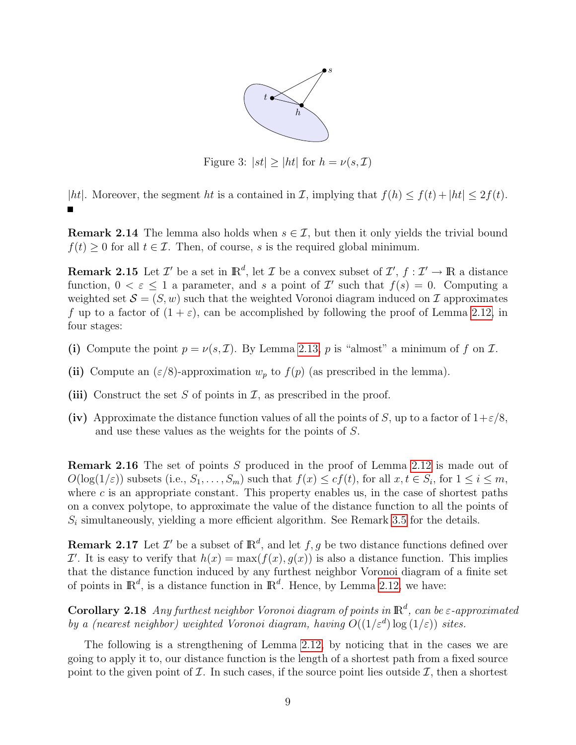

<span id="page-8-0"></span>Figure 3:  $|st| \geq |ht|$  for  $h = \nu(s, \mathcal{I})$ 

|ht|. Moreover, the segment ht is a contained in  $\mathcal{I}$ , implying that  $f(h) \leq f(t) + |ht| \leq 2f(t)$ . П

**Remark 2.14** The lemma also holds when  $s \in \mathcal{I}$ , but then it only yields the trivial bound  $f(t) \geq 0$  for all  $t \in \mathcal{I}$ . Then, of course, s is the required global minimum.

<span id="page-8-1"></span>**Remark 2.15** Let  $\mathcal{I}'$  be a set in  $\mathbb{R}^d$ , let  $\mathcal{I}$  be a convex subset of  $\mathcal{I}', f : \mathcal{I}' \to \mathbb{R}$  a distance function,  $0 < \varepsilon \leq 1$  a parameter, and s a point of T' such that  $f(s) = 0$ . Computing a weighted set  $\mathcal{S} = (S, w)$  such that the weighted Voronoi diagram induced on  $\mathcal{I}$  approximates f up to a factor of  $(1 + \varepsilon)$ , can be accomplished by following the proof of Lemma [2.12,](#page-6-0) in four stages:

- (i) Compute the point  $p = \nu(s, \mathcal{I})$ . By Lemma [2.13,](#page-7-1) p is "almost" a minimum of f on  $\mathcal{I}$ .
- (ii) Compute an  $(\varepsilon/8)$ -approximation  $w_p$  to  $f(p)$  (as prescribed in the lemma).
- (iii) Construct the set S of points in  $\mathcal{I}$ , as prescribed in the proof.
- (iv) Approximate the distance function values of all the points of S, up to a factor of  $1+\epsilon/8$ , and use these values as the weights for the points of S.

<span id="page-8-2"></span>Remark 2.16 The set of points S produced in the proof of Lemma [2.12](#page-6-0) is made out of  $O(\log(1/\varepsilon))$  subsets (i.e.,  $S_1, \ldots, S_m$ ) such that  $f(x) \leq cf(t)$ , for all  $x, t \in S_i$ , for  $1 \leq i \leq m$ , where  $c$  is an appropriate constant. This property enables us, in the case of shortest paths on a convex polytope, to approximate the value of the distance function to all the points of  $S_i$  simultaneously, yielding a more efficient algorithm. See Remark [3.5](#page-11-0) for the details.

**Remark 2.17** Let  $\mathcal{I}'$  be a subset of  $\mathbb{R}^d$ , and let  $f, g$  be two distance functions defined over  $\mathcal{I}'$ . It is easy to verify that  $h(x) = \max(f(x), g(x))$  is also a distance function. This implies that the distance function induced by any furthest neighbor Voronoi diagram of a finite set of points in  $\mathbb{R}^d$ , is a distance function in  $\mathbb{R}^d$ . Hence, by Lemma [2.12,](#page-6-0) we have:

**Corollary 2.18** Any furthest neighbor Voronoi diagram of points in  $\mathbb{R}^d$ , can be  $\varepsilon$ -approximated by a (nearest neighbor) weighted Voronoi diagram, having  $O((1/\varepsilon^d) \log(1/\varepsilon))$  sites.

The following is a strengthening of Lemma [2.12,](#page-6-0) by noticing that in the cases we are going to apply it to, our distance function is the length of a shortest path from a fixed source point to the given point of  $\mathcal I$ . In such cases, if the source point lies outside  $\mathcal I$ , then a shortest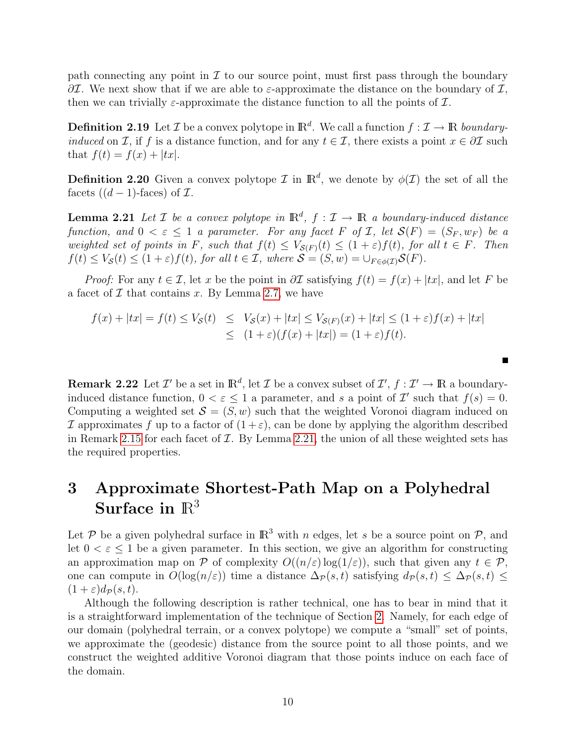path connecting any point in  $\mathcal I$  to our source point, must first pass through the boundary  $\partial\mathcal{I}$ . We next show that if we are able to  $\varepsilon$ -approximate the distance on the boundary of  $\mathcal{I}$ , then we can trivially  $\varepsilon$ -approximate the distance function to all the points of  $\mathcal{I}$ .

**Definition 2.19** Let  $\mathcal{I}$  be a convex polytope in  $\mathbb{R}^d$ . We call a function  $f: \mathcal{I} \to \mathbb{R}$  boundaryinduced on I, if f is a distance function, and for any  $t \in I$ , there exists a point  $x \in \partial I$  such that  $f(t) = f(x) + |tx|$ .

**Definition 2.20** Given a convex polytope  $\mathcal{I}$  in  $\mathbb{R}^d$ , we denote by  $\phi(\mathcal{I})$  the set of all the facets  $((d-1)$ -faces) of  $\mathcal{I}$ .

<span id="page-9-1"></span>**Lemma 2.21** Let  $\mathcal{I}$  be a convex polytope in  $\mathbb{R}^d$ ,  $f: \mathcal{I} \to \mathbb{R}$  a boundary-induced distance function, and  $0 < \varepsilon \leq 1$  a parameter. For any facet F of I, let  $\mathcal{S}(F) = (S_F, w_F)$  be a weighted set of points in F, such that  $f(t) \leq V_{\mathcal{S}(F)}(t) \leq (1+\varepsilon)f(t)$ , for all  $t \in F$ . Then  $f(t) \leq V_{\mathcal{S}}(t) \leq (1+\varepsilon)f(t)$ , for all  $t \in \mathcal{I}$ , where  $\mathcal{S} = (S, w) = \bigcup_{F \in \phi(\mathcal{I})} \mathcal{S}(F)$ .

*Proof:* For any  $t \in \mathcal{I}$ , let x be the point in  $\partial \mathcal{I}$  satisfying  $f(t) = f(x) + |tx|$ , and let F be a facet of  $\mathcal I$  that contains x. By Lemma [2.7,](#page-4-1) we have

$$
f(x) + |tx| = f(t) \le V_{\mathcal{S}}(t) \le V_{\mathcal{S}}(x) + |tx| \le V_{\mathcal{S}(F)}(x) + |tx| \le (1 + \varepsilon)f(x) + |tx|
$$
  

$$
\le (1 + \varepsilon)(f(x) + |tx|) = (1 + \varepsilon)f(t).
$$

<span id="page-9-2"></span>**Remark 2.22** Let  $\mathcal{I}'$  be a set in  $\mathbb{R}^d$ , let  $\mathcal{I}$  be a convex subset of  $\mathcal{I}', f : \mathcal{I}' \to \mathbb{R}$  a boundaryinduced distance function,  $0 < \varepsilon \leq 1$  a parameter, and s a point of T' such that  $f(s) = 0$ . Computing a weighted set  $S = (S, w)$  such that the weighted Voronoi diagram induced on If approximates f up to a factor of  $(1+\varepsilon)$ , can be done by applying the algorithm described in Remark [2.15](#page-8-1) for each facet of  $\mathcal I$ . By Lemma [2.21,](#page-9-1) the union of all these weighted sets has the required properties.

## <span id="page-9-0"></span>3 Approximate Shortest-Path Map on a Polyhedral Surface in  $\mathbb{R}^3$

Let P be a given polyhedral surface in  $\mathbb{R}^3$  with n edges, let s be a source point on P, and let  $0 < \varepsilon < 1$  be a given parameter. In this section, we give an algorithm for constructing an approximation map on P of complexity  $O((n/\varepsilon) \log(1/\varepsilon))$ , such that given any  $t \in \mathcal{P}$ , one can compute in  $O(\log(n/\varepsilon))$  time a distance  $\Delta_{\mathcal{P}}(s,t)$  satisfying  $d_{\mathcal{P}}(s,t) \leq \Delta_{\mathcal{P}}(s,t) \leq$  $(1+\varepsilon)d_{\mathcal{P}}(s,t).$ 

Although the following description is rather technical, one has to bear in mind that it is a straightforward implementation of the technique of Section [2.](#page-3-0) Namely, for each edge of our domain (polyhedral terrain, or a convex polytope) we compute a "small" set of points, we approximate the (geodesic) distance from the source point to all those points, and we construct the weighted additive Voronoi diagram that those points induce on each face of the domain.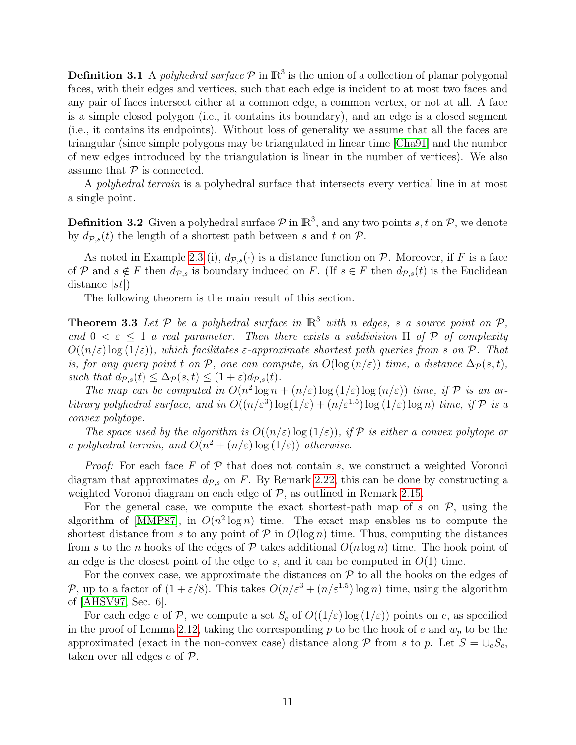**Definition 3.1** A polyhedral surface  $P$  in  $\mathbb{R}^3$  is the union of a collection of planar polygonal faces, with their edges and vertices, such that each edge is incident to at most two faces and any pair of faces intersect either at a common edge, a common vertex, or not at all. A face is a simple closed polygon (i.e., it contains its boundary), and an edge is a closed segment (i.e., it contains its endpoints). Without loss of generality we assume that all the faces are triangular (since simple polygons may be triangulated in linear time [\[Cha91\]](#page-17-10) and the number of new edges introduced by the triangulation is linear in the number of vertices). We also assume that  $P$  is connected.

A polyhedral terrain is a polyhedral surface that intersects every vertical line in at most a single point.

**Definition 3.2** Given a polyhedral surface  $P$  in  $\mathbb{R}^3$ , and any two points s, t on  $P$ , we denote by  $d_{\mathcal{P},s}(t)$  the length of a shortest path between s and t on  $\mathcal{P}$ .

As noted in Example [2.3](#page-3-1) (i),  $d_{\mathcal{P},s}(\cdot)$  is a distance function on  $\mathcal{P}$ . Moreover, if F is a face of P and  $s \notin F$  then  $d_{\mathcal{P},s}$  is boundary induced on F. (If  $s \in F$  then  $d_{\mathcal{P},s}(t)$  is the Euclidean distance  $|st|$ 

The following theorem is the main result of this section.

<span id="page-10-0"></span>**Theorem 3.3** Let  $P$  be a polyhedral surface in  $\mathbb{R}^3$  with n edges, s a source point on  $P$ , and  $0 < \varepsilon \leq 1$  a real parameter. Then there exists a subdivision  $\Pi$  of  $P$  of complexity  $O((n/\varepsilon)\log(1/\varepsilon))$ , which facilitates  $\varepsilon$ -approximate shortest path queries from s on P. That is, for any query point t on P, one can compute, in  $O(\log(n/\varepsilon))$  time, a distance  $\Delta_{\mathcal{P}}(s,t)$ , such that  $d_{\mathcal{P},s}(t) \leq \Delta_{\mathcal{P}}(s,t) \leq (1+\varepsilon) d_{\mathcal{P},s}(t)$ .

The map can be computed in  $O(n^2 \log n + (n/\varepsilon) \log (1/\varepsilon) \log (n/\varepsilon))$  time, if  $\mathcal P$  is an arbitrary polyhedral surface, and in  $O((n/\varepsilon^3) \log(1/\varepsilon) + (n/\varepsilon^{1.5}) \log(1/\varepsilon) \log n)$  time, if  $\mathcal P$  is a convex polytope.

The space used by the algorithm is  $O((n/\varepsilon) \log(1/\varepsilon))$ , if  $\mathcal P$  is either a convex polytope or a polyhedral terrain, and  $O(n^2 + (n/\varepsilon) \log(1/\varepsilon))$  otherwise.

*Proof:* For each face  $F$  of  $\mathcal P$  that does not contain  $s$ , we construct a weighted Voronoi diagram that approximates  $d_{\mathcal{P},s}$  on F. By Remark [2.22,](#page-9-2) this can be done by constructing a weighted Voronoi diagram on each edge of  $P$ , as outlined in Remark [2.15.](#page-8-1)

For the general case, we compute the exact shortest-path map of s on  $P$ , using the algorithm of [\[MMP87\]](#page-18-4), in  $O(n^2 \log n)$  time. The exact map enables us to compute the shortest distance from s to any point of  $P$  in  $O(\log n)$  time. Thus, computing the distances from s to the n hooks of the edges of P takes additional  $O(n \log n)$  time. The hook point of an edge is the closest point of the edge to s, and it can be computed in  $O(1)$  time.

For the convex case, we approximate the distances on  $P$  to all the hooks on the edges of P, up to a factor of  $(1+\varepsilon/8)$ . This takes  $O(n/\varepsilon^3 + (n/\varepsilon^{1.5}) \log n)$  time, using the algorithm of [\[AHSV97,](#page-17-5) Sec. 6].

For each edge e of P, we compute a set  $S_e$  of  $O((1/\varepsilon) \log(1/\varepsilon))$  points on e, as specified in the proof of Lemma [2.12,](#page-6-0) taking the corresponding p to be the hook of e and  $w_p$  to be the approximated (exact in the non-convex case) distance along  $P$  from s to p. Let  $S = \bigcup_{e} S_e$ , taken over all edges e of P.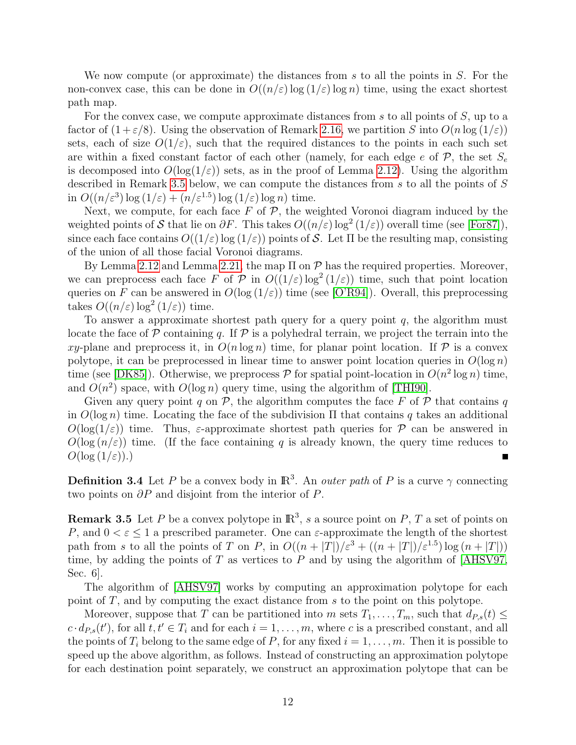We now compute (or approximate) the distances from  $s$  to all the points in  $S$ . For the non-convex case, this can be done in  $O((n/\varepsilon) \log(1/\varepsilon) \log n)$  time, using the exact shortest path map.

For the convex case, we compute approximate distances from s to all points of  $S$ , up to a factor of  $(1+\varepsilon/8)$ . Using the observation of Remark [2.16,](#page-8-2) we partition S into  $O(n \log{(1/\varepsilon)})$ sets, each of size  $O(1/\varepsilon)$ , such that the required distances to the points in each such set are within a fixed constant factor of each other (namely, for each edge e of  $P$ , the set  $S_e$ is decomposed into  $O(\log(1/\varepsilon))$  sets, as in the proof of Lemma [2.12\)](#page-6-0). Using the algorithm described in Remark [3.5](#page-11-0) below, we can compute the distances from s to all the points of S in  $O((n/\varepsilon^3) \log (1/\varepsilon) + (n/\varepsilon^{1.5}) \log (1/\varepsilon) \log n)$  time.

Next, we compute, for each face  $F$  of  $\mathcal{P}$ , the weighted Voronoi diagram induced by the weighted points of S that lie on  $\partial F$ . This takes  $O((n/\varepsilon) \log^2(1/\varepsilon))$  overall time (see [\[For87\]](#page-17-8)), since each face contains  $O((1/\varepsilon) \log(1/\varepsilon))$  points of S. Let  $\Pi$  be the resulting map, consisting of the union of all those facial Voronoi diagrams.

By Lemma [2.12](#page-6-0) and Lemma [2.21,](#page-9-1) the map  $\Pi$  on  $P$  has the required properties. Moreover, we can preprocess each face F of P in  $O((1/\varepsilon)\log^2(1/\varepsilon))$  time, such that point location queries on F can be answered in  $O(\log(1/\varepsilon))$  time (see [\[O'R94\]](#page-18-8)). Overall, this preprocessing takes  $O((n/\varepsilon) \log^2{(1/\varepsilon)})$  time.

To answer a approximate shortest path query for a query point  $q$ , the algorithm must locate the face of  $\mathcal P$  containing q. If  $\mathcal P$  is a polyhedral terrain, we project the terrain into the xy-plane and preprocess it, in  $O(n \log n)$  time, for planar point location. If P is a convex polytope, it can be preprocessed in linear time to answer point location queries in  $O(\log n)$ time (see [\[DK85\]](#page-17-11)). Otherwise, we preprocess  $P$  for spatial point-location in  $O(n^2 \log n)$  time, and  $O(n^2)$  space, with  $O(\log n)$  query time, using the algorithm of [\[THI90\]](#page-18-9).

Given any query point q on  $\mathcal{P}$ , the algorithm computes the face F of  $\mathcal P$  that contains q in  $O(\log n)$  time. Locating the face of the subdivision  $\Pi$  that contains q takes an additional  $O(\log(1/\epsilon))$  time. Thus,  $\varepsilon$ -approximate shortest path queries for P can be answered in  $O(\log(n/\epsilon))$  time. (If the face containing q is already known, the query time reduces to  $O(\log{(1/\varepsilon)}).$ Ē

**Definition 3.4** Let P be a convex body in  $\mathbb{R}^3$ . An *outer path* of P is a curve  $\gamma$  connecting two points on  $\partial P$  and disjoint from the interior of P.

<span id="page-11-0"></span>**Remark 3.5** Let P be a convex polytope in  $\mathbb{R}^3$ , s a source point on P, T a set of points on P, and  $0 < \varepsilon \leq 1$  a prescribed parameter. One can  $\varepsilon$ -approximate the length of the shortest path from s to all the points of T on P, in  $O((n+|T|)/\varepsilon^3 + ((n+|T|)/\varepsilon^{1.5}) \log(n+|T|))$ time, by adding the points of  $T$  as vertices to  $P$  and by using the algorithm of [\[AHSV97,](#page-17-5) Sec. 6].

The algorithm of [\[AHSV97\]](#page-17-5) works by computing an approximation polytope for each point of T, and by computing the exact distance from s to the point on this polytope.

Moreover, suppose that T can be partitioned into m sets  $T_1, \ldots, T_m$ , such that  $d_{P,s}(t) \leq$  $c \cdot d_{P,s}(t')$ , for all  $t, t' \in T_i$  and for each  $i = 1, \ldots, m$ , where c is a prescribed constant, and all the points of  $T_i$  belong to the same edge of P, for any fixed  $i = 1, \ldots, m$ . Then it is possible to speed up the above algorithm, as follows. Instead of constructing an approximation polytope for each destination point separately, we construct an approximation polytope that can be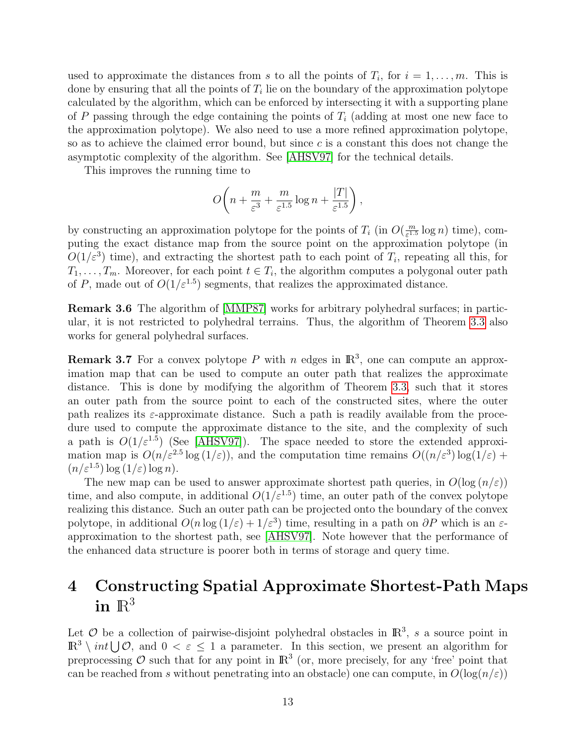used to approximate the distances from s to all the points of  $T_i$ , for  $i = 1, \ldots, m$ . This is done by ensuring that all the points of  $T_i$  lie on the boundary of the approximation polytope calculated by the algorithm, which can be enforced by intersecting it with a supporting plane of P passing through the edge containing the points of  $T_i$  (adding at most one new face to the approximation polytope). We also need to use a more refined approximation polytope, so as to achieve the claimed error bound, but since c is a constant this does not change the asymptotic complexity of the algorithm. See [\[AHSV97\]](#page-17-5) for the technical details.

This improves the running time to

$$
O\bigg(n+\frac{m}{\varepsilon^3}+\frac{m}{\varepsilon^{1.5}}\log n+\frac{|T|}{\varepsilon^{1.5}}\bigg)\,,
$$

by constructing an approximation polytope for the points of  $T_i$  (in  $O(\frac{m}{\epsilon^{1.5}})$  $\frac{m}{\varepsilon^{1.5}} \log n$  time), computing the exact distance map from the source point on the approximation polytope (in  $O(1/\varepsilon^3)$  time), and extracting the shortest path to each point of  $T_i$ , repeating all this, for  $T_1, \ldots, T_m$ . Moreover, for each point  $t \in T_i$ , the algorithm computes a polygonal outer path of P, made out of  $O(1/\varepsilon^{1.5})$  segments, that realizes the approximated distance.

Remark 3.6 The algorithm of [\[MMP87\]](#page-18-4) works for arbitrary polyhedral surfaces; in particular, it is not restricted to polyhedral terrains. Thus, the algorithm of Theorem [3.3](#page-10-0) also works for general polyhedral surfaces.

**Remark 3.7** For a convex polytope P with n edges in  $\mathbb{R}^3$ , one can compute an approximation map that can be used to compute an outer path that realizes the approximate distance. This is done by modifying the algorithm of Theorem [3.3,](#page-10-0) such that it stores an outer path from the source point to each of the constructed sites, where the outer path realizes its  $\varepsilon$ -approximate distance. Such a path is readily available from the procedure used to compute the approximate distance to the site, and the complexity of such a path is  $O(1/\varepsilon^{1.5})$  (See [\[AHSV97\]](#page-17-5)). The space needed to store the extended approximation map is  $O(n/\varepsilon^{2.5} \log(1/\varepsilon))$ , and the computation time remains  $O((n/\varepsilon^3) \log(1/\varepsilon) +$  $(n/\varepsilon^{1.5}) \log (1/\varepsilon) \log n$ .

The new map can be used to answer approximate shortest path queries, in  $O(\log (n/\epsilon))$ time, and also compute, in additional  $O(1/\varepsilon^{1.5})$  time, an outer path of the convex polytope realizing this distance. Such an outer path can be projected onto the boundary of the convex polytope, in additional  $O(n \log(1/\varepsilon) + 1/\varepsilon^3)$  time, resulting in a path on  $\partial P$  which is an  $\varepsilon$ approximation to the shortest path, see [\[AHSV97\]](#page-17-5). Note however that the performance of the enhanced data structure is poorer both in terms of storage and query time.

## <span id="page-12-0"></span>4 Constructing Spatial Approximate Shortest-Path Maps in  $\mathbb{R}^3$

Let  $\mathcal O$  be a collection of pairwise-disjoint polyhedral obstacles in  $\mathbb R^3$ , s a source point in  $\mathbb{R}^3 \setminus int \cup \mathcal{O}$ , and  $0 < \varepsilon \leq 1$  a parameter. In this section, we present an algorithm for preprocessing O such that for any point in  $\mathbb{R}^3$  (or, more precisely, for any 'free' point that can be reached from s without penetrating into an obstacle) one can compute, in  $O(\log(n/\varepsilon))$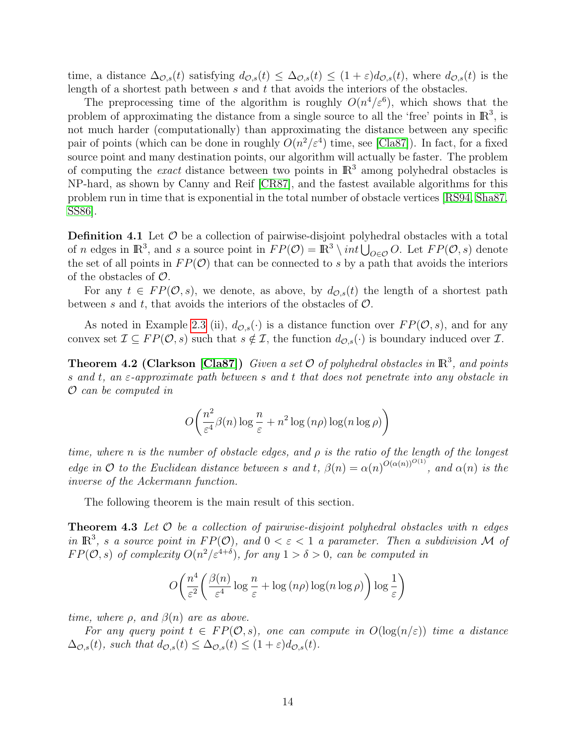time, a distance  $\Delta_{\mathcal{O},s}(t)$  satisfying  $d_{\mathcal{O},s}(t) \leq \Delta_{\mathcal{O},s}(t) \leq (1+\varepsilon)d_{\mathcal{O},s}(t)$ , where  $d_{\mathcal{O},s}(t)$  is the length of a shortest path between  $s$  and  $t$  that avoids the interiors of the obstacles.

The preprocessing time of the algorithm is roughly  $O(n^4/\varepsilon^6)$ , which shows that the problem of approximating the distance from a single source to all the 'free' points in  $\mathbb{R}^3$ , is not much harder (computationally) than approximating the distance between any specific pair of points (which can be done in roughly  $O(n^2/\varepsilon^4)$  time, see [\[Cla87\]](#page-17-2)). In fact, for a fixed source point and many destination points, our algorithm will actually be faster. The problem of computing the *exact* distance between two points in  $\mathbb{R}^3$  among polyhedral obstacles is NP-hard, as shown by Canny and Reif [\[CR87\]](#page-17-0), and the fastest available algorithms for this problem run in time that is exponential in the total number of obstacle vertices [\[RS94,](#page-18-0) [Sha87,](#page-18-1) [SS86\]](#page-18-3).

**Definition 4.1** Let  $\mathcal{O}$  be a collection of pairwise-disjoint polyhedral obstacles with a total of *n* edges in  $\mathbb{R}^3$ , and *s* a source point in  $FP(\mathcal{O}) = \mathbb{R}^3 \setminus int \bigcup_{O \in \mathcal{O}} O$ . Let  $FP(\mathcal{O}, s)$  denote the set of all points in  $FP(\mathcal{O})$  that can be connected to s by a path that avoids the interiors of the obstacles of  $\mathcal{O}$ .

For any  $t \in FP(\mathcal{O}, s)$ , we denote, as above, by  $d_{\mathcal{O}, s}(t)$  the length of a shortest path between s and t, that avoids the interiors of the obstacles of  $\mathcal{O}$ .

As noted in Example [2.3](#page-3-1) (ii),  $d_{\mathcal{O},s}(\cdot)$  is a distance function over  $FP(\mathcal{O}, s)$ , and for any convex set  $\mathcal{I} \subseteq FP(\mathcal{O}, s)$  such that  $s \notin \mathcal{I}$ , the function  $d_{\mathcal{O},s}(\cdot)$  is boundary induced over  $\mathcal{I}$ .

<span id="page-13-0"></span>**Theorem 4.2 (Clarkson [\[Cla87\]](#page-17-2))** Given a set  $\mathcal{O}$  of polyhedral obstacles in  $\mathbb{R}^3$ , and points s and t, an  $\varepsilon$ -approximate path between s and t that does not penetrate into any obstacle in O can be computed in

$$
O\left(\frac{n^2}{\varepsilon^4}\beta(n)\log\frac{n}{\varepsilon} + n^2\log\left(n\rho\right)\log(n\log\rho)\right)
$$

time, where n is the number of obstacle edges, and  $\rho$  is the ratio of the length of the longest edge in O to the Euclidean distance between s and t,  $\beta(n) = \alpha(n)^{O(\alpha(n))^{O(1)}}$ , and  $\alpha(n)$  is the inverse of the Ackermann function.

The following theorem is the main result of this section.

<span id="page-13-1"></span>**Theorem 4.3** Let  $\mathcal O$  be a collection of pairwise-disjoint polyhedral obstacles with n edges in  $\mathbb{R}^3$ , s a source point in  $FP(\mathcal{O})$ , and  $0 < \varepsilon < 1$  a parameter. Then a subdivision M of  $FP(\mathcal{O}, s)$  of complexity  $O(n^2/\varepsilon^{4+\delta})$ , for any  $1 > \delta > 0$ , can be computed in

$$
O\left(\frac{n^4}{\varepsilon^2} \left(\frac{\beta(n)}{\varepsilon^4} \log \frac{n}{\varepsilon} + \log (n\rho) \log (n \log \rho)\right) \log \frac{1}{\varepsilon}\right)
$$

time, where  $\rho$ , and  $\beta(n)$  are as above.

For any query point  $t \in FP(\mathcal{O}, s)$ , one can compute in  $O(\log(n/\varepsilon))$  time a distance  $\Delta_{\mathcal{O},s}(t)$ , such that  $d_{\mathcal{O},s}(t) \leq \Delta_{\mathcal{O},s}(t) \leq (1+\varepsilon)d_{\mathcal{O},s}(t)$ .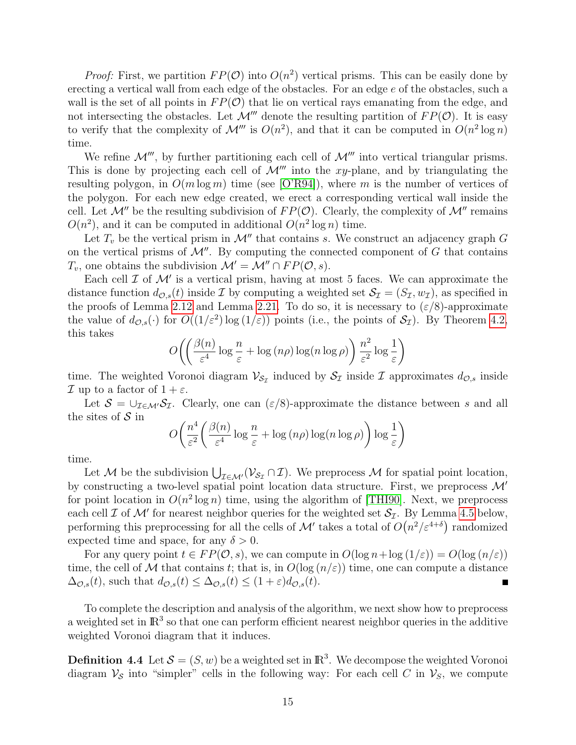*Proof:* First, we partition  $FP(\mathcal{O})$  into  $O(n^2)$  vertical prisms. This can be easily done by erecting a vertical wall from each edge of the obstacles. For an edge  $e$  of the obstacles, such a wall is the set of all points in  $FP(\mathcal{O})$  that lie on vertical rays emanating from the edge, and not intersecting the obstacles. Let  $\mathcal{M}'''$  denote the resulting partition of  $FP(\mathcal{O})$ . It is easy to verify that the complexity of  $\mathcal{M}'''$  is  $O(n^2)$ , and that it can be computed in  $O(n^2 \log n)$ time.

We refine  $\mathcal{M}'''$ , by further partitioning each cell of  $\mathcal{M}'''$  into vertical triangular prisms. This is done by projecting each cell of  $\mathcal{M}^{\prime\prime\prime}$  into the xy-plane, and by triangulating the resulting polygon, in  $O(m \log m)$  time (see [\[O'R94\]](#page-18-8)), where m is the number of vertices of the polygon. For each new edge created, we erect a corresponding vertical wall inside the cell. Let  $\mathcal{M}''$  be the resulting subdivision of  $FP(\mathcal{O})$ . Clearly, the complexity of  $\mathcal{M}''$  remains  $O(n^2)$ , and it can be computed in additional  $O(n^2 \log n)$  time.

Let  $T_v$  be the vertical prism in  $\mathcal{M}''$  that contains s. We construct an adjacency graph G on the vertical prisms of  $\mathcal{M}''$ . By computing the connected component of G that contains  $T_v$ , one obtains the subdivision  $\mathcal{M}' = \mathcal{M}'' \cap FP(\mathcal{O}, s)$ .

Each cell  $\mathcal I$  of  $\mathcal M'$  is a vertical prism, having at most 5 faces. We can approximate the distance function  $d_{\mathcal{O},s}(t)$  inside  $\mathcal I$  by computing a weighted set  $\mathcal S_{\mathcal I} = (S_{\mathcal I}, w_{\mathcal I})$ , as specified in the proofs of Lemma [2.12](#page-6-0) and Lemma [2.21.](#page-9-1) To do so, it is necessary to  $(\varepsilon/8)$ -approximate the value of  $d_{\mathcal{O},s}(\cdot)$  for  $O((1/\varepsilon^2) \log(1/\varepsilon))$  points (i.e., the points of  $\mathcal{S}_{\mathcal{I}}$ ). By Theorem [4.2,](#page-13-0) this takes

$$
O\left(\left(\frac{\beta(n)}{\varepsilon^4}\log\frac{n}{\varepsilon} + \log\left(n\rho\right)\log\left(n\log\rho\right)\right)\frac{n^2}{\varepsilon^2}\log\frac{1}{\varepsilon}\right)
$$

time. The weighted Voronoi diagram  $\mathcal{V}_{S_{\mathcal{I}}}$  induced by  $\mathcal{S}_{\mathcal{I}}$  inside  $\mathcal{I}$  approximates  $d_{\mathcal{O},s}$  inside  $\mathcal I$  up to a factor of  $1+\varepsilon$ .

Let  $S = \bigcup_{\mathcal{I} \in \mathcal{M}'} S_{\mathcal{I}}$ . Clearly, one can  $(\varepsilon/8)$ -approximate the distance between s and all the sites of  $\mathcal S$  in

$$
O\left(\frac{n^4}{\varepsilon^2} \left(\frac{\beta(n)}{\varepsilon^4} \log \frac{n}{\varepsilon} + \log (n\rho) \log (n \log \rho)\right) \log \frac{1}{\varepsilon}\right)
$$

time.

Let M be the subdivision  $\bigcup_{\mathcal{I}\in\mathcal{M}'}(\mathcal{V}_{\mathcal{S}_{\mathcal{I}}}\cap\mathcal{I})$ . We preprocess M for spatial point location, by constructing a two-level spatial point location data structure. First, we preprocess  $\mathcal{M}'$ for point location in  $O(n^2 \log n)$  time, using the algorithm of [\[THI90\]](#page-18-9). Next, we preprocess each cell  $\mathcal I$  of  $\mathcal M'$  for nearest neighbor queries for the weighted set  $\mathcal S_{\mathcal I}$ . By Lemma [4.5](#page-15-0) below, performing this preprocessing for all the cells of  $\mathcal{M}'$  takes a total of  $O(n^2/\varepsilon^{4+\delta})$  randomized expected time and space, for any  $\delta > 0$ .

For any query point  $t \in FP(\mathcal{O}, s)$ , we can compute in  $O(\log n + \log(1/\varepsilon)) = O(\log(n/\varepsilon))$ time, the cell of M that contains t; that is, in  $O(\log(n/\varepsilon))$  time, one can compute a distance  $\Delta_{\mathcal{O},s}(t)$ , such that  $d_{\mathcal{O},s}(t) \leq \Delta_{\mathcal{O},s}(t) \leq (1+\varepsilon)d_{\mathcal{O},s}(t)$ .

To complete the description and analysis of the algorithm, we next show how to preprocess a weighted set in  $\mathbb{R}^3$  so that one can perform efficient nearest neighbor queries in the additive weighted Voronoi diagram that it induces.

**Definition 4.4** Let  $\mathcal{S} = (S, w)$  be a weighted set in  $\mathbb{R}^3$ . We decompose the weighted Voronoi diagram  $\mathcal{V}_{\mathcal{S}}$  into "simpler" cells in the following way: For each cell C in  $\mathcal{V}_{\mathcal{S}}$ , we compute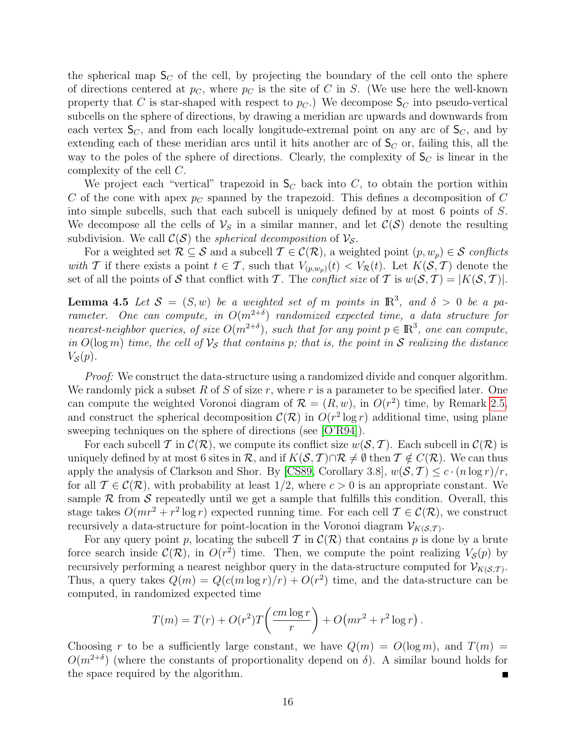the spherical map  $S_C$  of the cell, by projecting the boundary of the cell onto the sphere of directions centered at  $p<sub>C</sub>$ , where  $p<sub>C</sub>$  is the site of C in S. (We use here the well-known property that C is star-shaped with respect to  $p_C$ .) We decompose  $S_C$  into pseudo-vertical subcells on the sphere of directions, by drawing a meridian arc upwards and downwards from each vertex  $S_C$ , and from each locally longitude-extremal point on any arc of  $S_C$ , and by extending each of these meridian arcs until it hits another arc of  $S_C$  or, failing this, all the way to the poles of the sphere of directions. Clearly, the complexity of  $S_C$  is linear in the complexity of the cell C.

We project each "vertical" trapezoid in  $S_C$  back into C, to obtain the portion within C of the cone with apex  $p<sub>C</sub>$  spanned by the trapezoid. This defines a decomposition of C into simple subcells, such that each subcell is uniquely defined by at most 6 points of S. We decompose all the cells of  $\mathcal{V}_S$  in a similar manner, and let  $\mathcal{C}(S)$  denote the resulting subdivision. We call  $\mathcal{C}(\mathcal{S})$  the *spherical decomposition* of  $\mathcal{V}_{\mathcal{S}}$ .

For a weighted set  $\mathcal{R} \subseteq \mathcal{S}$  and a subcell  $\mathcal{T} \in \mathcal{C}(\mathcal{R})$ , a weighted point  $(p, w_p) \in \mathcal{S}$  conflicts with T if there exists a point  $t \in \mathcal{T}$ , such that  $V_{(p,w_n)}(t) < V_{\mathcal{R}}(t)$ . Let  $K(\mathcal{S},\mathcal{T})$  denote the set of all the points of S that conflict with T. The *conflict size* of T is  $w(S, T) = |K(S, T)|$ .

<span id="page-15-0"></span>**Lemma 4.5** Let  $S = (S, w)$  be a weighted set of m points in  $\mathbb{R}^3$ , and  $\delta > 0$  be a parameter. One can compute, in  $O(m^{2+\delta})$  randomized expected time, a data structure for nearest-neighbor queries, of size  $O(m^{2+\delta})$ , such that for any point  $p \in \mathbb{R}^3$ , one can compute, in  $O(\log m)$  time, the cell of  $\mathcal{V}_{\mathcal{S}}$  that contains p; that is, the point in S realizing the distance  $V_{\mathcal{S}}(p)$ .

*Proof:* We construct the data-structure using a randomized divide and conquer algorithm. We randomly pick a subset R of S of size r, where r is a parameter to be specified later. One can compute the weighted Voronoi diagram of  $\mathcal{R} = (R, w)$ , in  $O(r^2)$  time, by Remark [2.5,](#page-3-2) and construct the spherical decomposition  $\mathcal{C}(\mathcal{R})$  in  $O(r^2 \log r)$  additional time, using plane sweeping techniques on the sphere of directions (see [\[O'R94\]](#page-18-8)).

For each subcell T in  $\mathcal{C}(\mathcal{R})$ , we compute its conflict size  $w(\mathcal{S}, \mathcal{T})$ . Each subcell in  $\mathcal{C}(\mathcal{R})$  is uniquely defined by at most 6 sites in R, and if  $K(S, \mathcal{T}) \cap \mathcal{R} \neq \emptyset$  then  $\mathcal{T} \notin C(\mathcal{R})$ . We can thus apply the analysis of Clarkson and Shor. By [\[CS89,](#page-17-12) Corollary 3.8],  $w(S, \mathcal{T}) \leq c \cdot (n \log r)/r$ , for all  $\mathcal{T} \in \mathcal{C}(\mathcal{R})$ , with probability at least  $1/2$ , where  $c > 0$  is an appropriate constant. We sample  $R$  from  $S$  repeatedly until we get a sample that fulfills this condition. Overall, this stage takes  $O(mr^2 + r^2 \log r)$  expected running time. For each cell  $\mathcal{T} \in \mathcal{C}(\mathcal{R})$ , we construct recursively a data-structure for point-location in the Voronoi diagram  $V_{K(S,T)}$ .

For any query point p, locating the subcell T in  $\mathcal{C}(\mathcal{R})$  that contains p is done by a brute force search inside  $\mathcal{C}(\mathcal{R})$ , in  $O(r^2)$  time. Then, we compute the point realizing  $V_{\mathcal{S}}(p)$  by recursively performing a nearest neighbor query in the data-structure computed for  $\mathcal{V}_{K(S,T)}$ . Thus, a query takes  $Q(m) = Q(c(m \log r)/r) + O(r^2)$  time, and the data-structure can be computed, in randomized expected time

$$
T(m) = T(r) + O(r2)T\left(\frac{cm \log r}{r}\right) + O\left(mr2 + r2 \log r\right).
$$

Choosing r to be a sufficiently large constant, we have  $Q(m) = O(\log m)$ , and  $T(m) =$  $O(m^{2+\delta})$  (where the constants of proportionality depend on  $\delta$ ). A similar bound holds for the space required by the algorithm.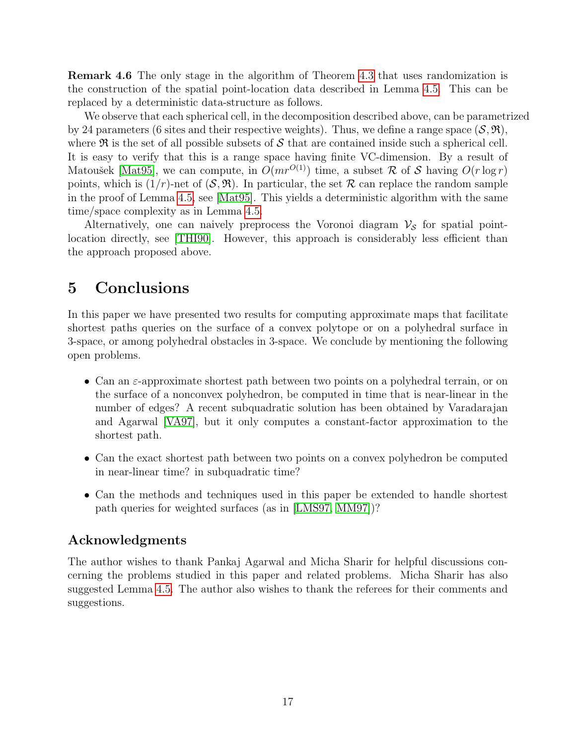Remark 4.6 The only stage in the algorithm of Theorem [4.3](#page-13-1) that uses randomization is the construction of the spatial point-location data described in Lemma [4.5.](#page-15-0) This can be replaced by a deterministic data-structure as follows.

We observe that each spherical cell, in the decomposition described above, can be parametrized by 24 parameters (6 sites and their respective weights). Thus, we define a range space  $(\mathcal{S}, \mathfrak{R})$ , where  $\Re$  is the set of all possible subsets of S that are contained inside such a spherical cell. It is easy to verify that this is a range space having finite VC-dimension. By a result of Matoušek [\[Mat95\]](#page-17-13), we can compute, in  $O(mr^{O(1)})$  time, a subset R of S having  $O(r \log r)$ points, which is  $(1/r)$ -net of  $(S, \mathfrak{R})$ . In particular, the set  $\mathcal R$  can replace the random sample in the proof of Lemma [4.5,](#page-15-0) see [\[Mat95\]](#page-17-13). This yields a deterministic algorithm with the same time/space complexity as in Lemma [4.5.](#page-15-0)

Alternatively, one can naively preprocess the Voronoi diagram  $\mathcal{V}_{\mathcal{S}}$  for spatial pointlocation directly, see [\[THI90\]](#page-18-9). However, this approach is considerably less efficient than the approach proposed above.

## <span id="page-16-0"></span>5 Conclusions

In this paper we have presented two results for computing approximate maps that facilitate shortest paths queries on the surface of a convex polytope or on a polyhedral surface in 3-space, or among polyhedral obstacles in 3-space. We conclude by mentioning the following open problems.

- Can an  $\varepsilon$ -approximate shortest path between two points on a polyhedral terrain, or on the surface of a nonconvex polyhedron, be computed in time that is near-linear in the number of edges? A recent subquadratic solution has been obtained by Varadarajan and Agarwal [\[VA97\]](#page-18-5), but it only computes a constant-factor approximation to the shortest path.
- Can the exact shortest path between two points on a convex polyhedron be computed in near-linear time? in subquadratic time?
- Can the methods and techniques used in this paper be extended to handle shortest path queries for weighted surfaces (as in [\[LMS97,](#page-17-7) [MM97\]](#page-18-6))?

#### Acknowledgments

The author wishes to thank Pankaj Agarwal and Micha Sharir for helpful discussions concerning the problems studied in this paper and related problems. Micha Sharir has also suggested Lemma [4.5.](#page-15-0) The author also wishes to thank the referees for their comments and suggestions.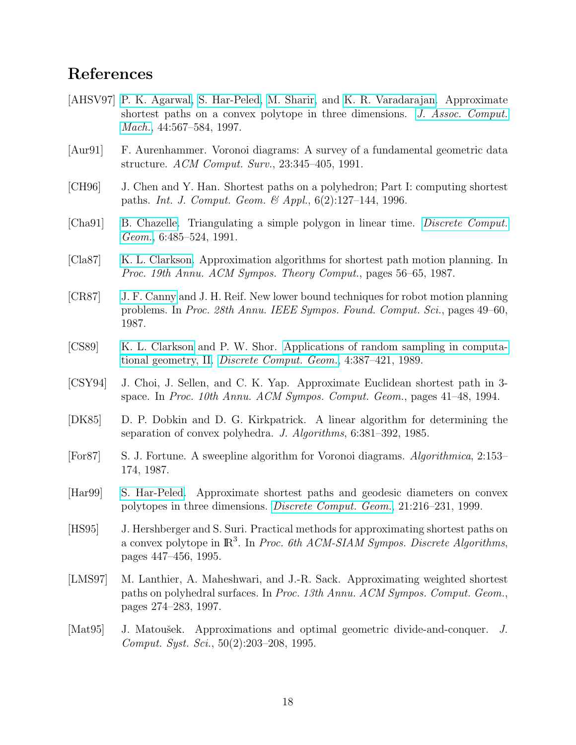## References

- <span id="page-17-5"></span>[AHSV97] [P. K. Agarwal,](http://www.cs.duke.edu/~pankaj) [S. Har-Peled,](http://www.uiuc.edu/~sariel) [M. Sharir,](http://www.math.tau.ac.il/~michas) and [K. R. Varadarajan.](http://www.cs.uiowa.edu/~kvaradar/) Approximate shortest paths on a convex polytope in three dimensions. [J. Assoc. Comput.](http://www.acm.org/jacm/) [Mach.](http://www.acm.org/jacm/), 44:567–584, 1997.
- <span id="page-17-9"></span>[Aur91] F. Aurenhammer. Voronoi diagrams: A survey of a fundamental geometric data structure. ACM Comput. Surv., 23:345–405, 1991.
- <span id="page-17-3"></span>[CH96] J. Chen and Y. Han. Shortest paths on a polyhedron; Part I: computing shortest paths. *Int. J. Comput. Geom.* & Appl.,  $6(2):127-144$ , 1996.
- <span id="page-17-10"></span>[Cha91] [B. Chazelle.](http://www.cs.princeton.edu/~chazelle/) Triangulating a simple polygon in linear time. [Discrete Comput.](http://link.springer-ny.com/link/service/journals/00454/) [Geom.](http://link.springer-ny.com/link/service/journals/00454/), 6:485–524, 1991.
- <span id="page-17-2"></span>[Cla87] [K. L. Clarkson.](http://cm.bell-labs.com/who/clarkson/) Approximation algorithms for shortest path motion planning. In Proc. 19th Annu. ACM Sympos. Theory Comput., pages 56–65, 1987.
- <span id="page-17-0"></span>[CR87] [J. F. Canny](http://www.cs.berkeley.edu/~jfc/) and J. H. Reif. New lower bound techniques for robot motion planning problems. In Proc. 28th Annu. IEEE Sympos. Found. Comput. Sci., pages 49–60, 1987.
- <span id="page-17-12"></span>[CS89] [K. L. Clarkson](http://cm.bell-labs.com/who/clarkson/) and P. W. Shor. [Applications of random sampling in computa](http://cm.bell-labs.com/who/clarkson/rs2m.html)[tional geometry, II.](http://cm.bell-labs.com/who/clarkson/rs2m.html) [Discrete Comput. Geom.](http://link.springer-ny.com/link/service/journals/00454/), 4:387–421, 1989.
- <span id="page-17-1"></span>[CSY94] J. Choi, J. Sellen, and C. K. Yap. Approximate Euclidean shortest path in 3 space. In Proc. 10th Annu. ACM Sympos. Comput. Geom., pages 41–48, 1994.
- <span id="page-17-11"></span>[DK85] D. P. Dobkin and D. G. Kirkpatrick. A linear algorithm for determining the separation of convex polyhedra. J. Algorithms, 6:381–392, 1985.
- <span id="page-17-8"></span>[For87] S. J. Fortune. A sweepline algorithm for Voronoi diagrams. Algorithmica, 2:153– 174, 1987.
- <span id="page-17-6"></span>[Har99] [S. Har-Peled.](http://www.uiuc.edu/~sariel) Approximate shortest paths and geodesic diameters on convex polytopes in three dimensions. [Discrete Comput. Geom.](http://link.springer-ny.com/link/service/journals/00454/), 21:216–231, 1999.
- <span id="page-17-4"></span>[HS95] J. Hershberger and S. Suri. Practical methods for approximating shortest paths on a convex polytope in  $\mathbb{R}^3$ . In Proc. 6th ACM-SIAM Sympos. Discrete Algorithms, pages 447–456, 1995.
- <span id="page-17-7"></span>[LMS97] M. Lanthier, A. Maheshwari, and J.-R. Sack. Approximating weighted shortest paths on polyhedral surfaces. In Proc. 13th Annu. ACM Sympos. Comput. Geom., pages 274–283, 1997.
- <span id="page-17-13"></span>[Mat95] J. Matoušek. Approximations and optimal geometric divide-and-conquer. J. Comput. Syst. Sci., 50(2):203–208, 1995.